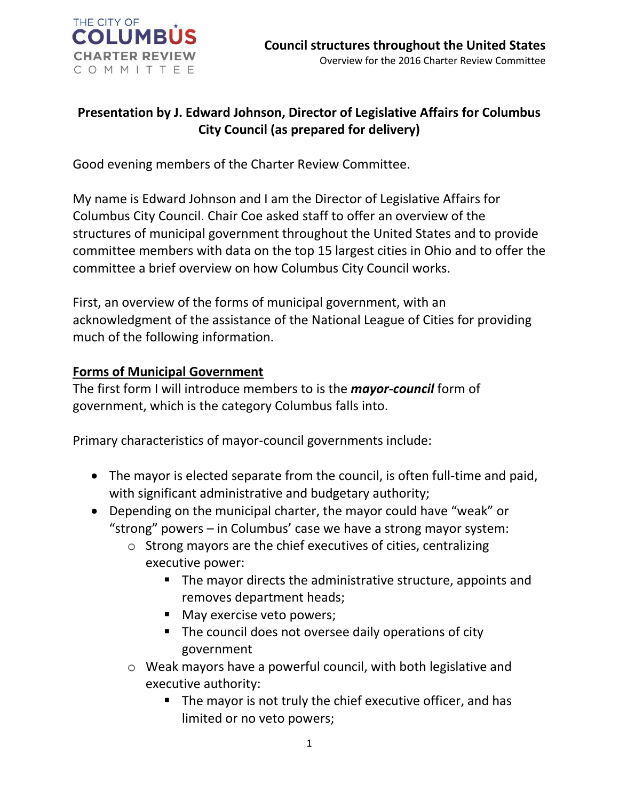

## **Presentation by J. Edward Johnson, Director of Legislative Affairs for Columbus City Council (as prepared for delivery)**

Good evening members of the Charter Review Committee.

My name is Edward Johnson and I am the Director of Legislative Affairs for Columbus City Council. Chair Coe asked staff to offer an overview of the structures of municipal government throughout the United States and to provide committee members with data on the top 15 largest cities in Ohio and to offer the committee a brief overview on how Columbus City Council works.

First, an overview of the forms of municipal government, with an acknowledgment of the assistance of the National League of Cities for providing much of the following information.

## **Forms of Municipal Government**

The first form I will introduce members to is the *mayor-council* form of government, which is the category Columbus falls into.

Primary characteristics of mayor-council governments include:

- The mayor is elected separate from the council, is often full-time and paid, with significant administrative and budgetary authority;
- Depending on the municipal charter, the mayor could have "weak" or "strong" powers – in Columbus' case we have a strong mayor system:
	- o Strong mayors are the chief executives of cities, centralizing executive power:
		- The mayor directs the administrative structure, appoints and removes department heads;
		- May exercise veto powers;
		- The council does not oversee daily operations of city government
	- o Weak mayors have a powerful council, with both legislative and executive authority:
		- The mayor is not truly the chief executive officer, and has limited or no veto powers;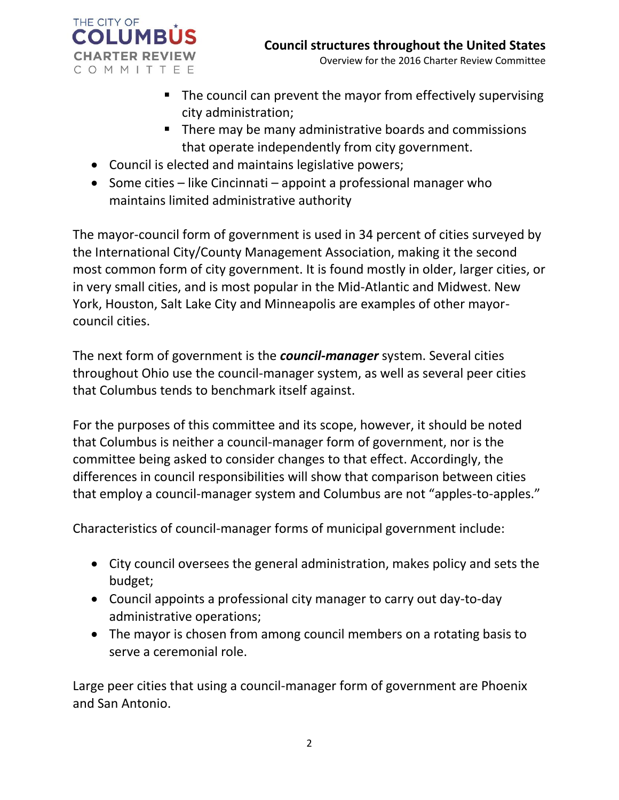

- The council can prevent the mayor from effectively supervising city administration;
- **There may be many administrative boards and commissions** that operate independently from city government.
- Council is elected and maintains legislative powers;
- $\bullet$  Some cities like Cincinnati appoint a professional manager who maintains limited administrative authority

The mayor-council form of government is used in 34 percent of cities surveyed by the International City/County Management Association, making it the second most common form of city government. It is found mostly in older, larger cities, or in very small cities, and is most popular in the Mid-Atlantic and Midwest. New York, Houston, Salt Lake City and Minneapolis are examples of other mayorcouncil cities.

The next form of government is the *council-manager* system. Several cities throughout Ohio use the council-manager system, as well as several peer cities that Columbus tends to benchmark itself against.

For the purposes of this committee and its scope, however, it should be noted that Columbus is neither a council-manager form of government, nor is the committee being asked to consider changes to that effect. Accordingly, the differences in council responsibilities will show that comparison between cities that employ a council-manager system and Columbus are not "apples-to-apples."

Characteristics of council-manager forms of municipal government include:

- City council oversees the general administration, makes policy and sets the budget;
- Council appoints a professional city manager to carry out day-to-day administrative operations;
- The mayor is chosen from among council members on a rotating basis to serve a ceremonial role.

Large peer cities that using a council-manager form of government are Phoenix and San Antonio.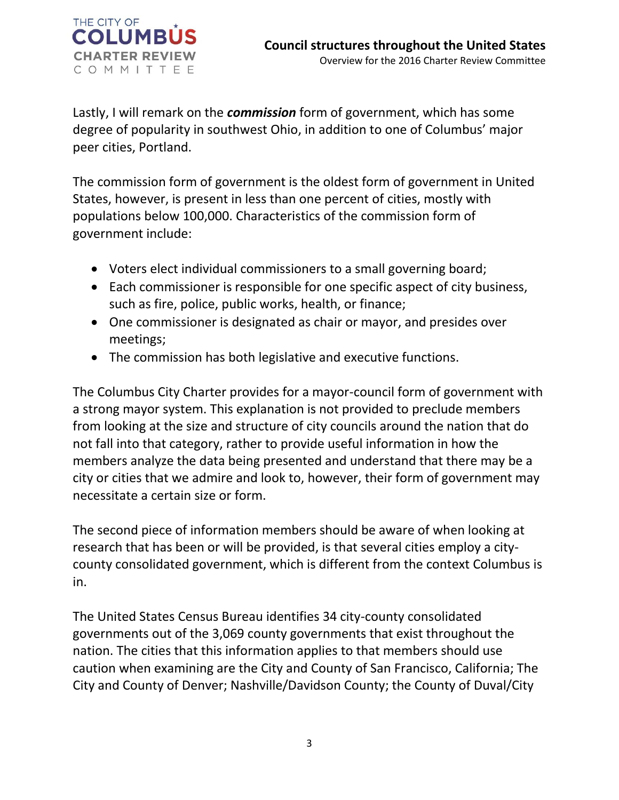

Lastly, I will remark on the *commission* form of government, which has some degree of popularity in southwest Ohio, in addition to one of Columbus' major peer cities, Portland.

The commission form of government is the oldest form of government in United States, however, is present in less than one percent of cities, mostly with populations below 100,000. Characteristics of the commission form of government include:

- Voters elect individual commissioners to a small governing board;
- Each commissioner is responsible for one specific aspect of city business, such as fire, police, public works, health, or finance;
- One commissioner is designated as chair or mayor, and presides over meetings;
- The commission has both legislative and executive functions.

The Columbus City Charter provides for a mayor-council form of government with a strong mayor system. This explanation is not provided to preclude members from looking at the size and structure of city councils around the nation that do not fall into that category, rather to provide useful information in how the members analyze the data being presented and understand that there may be a city or cities that we admire and look to, however, their form of government may necessitate a certain size or form.

The second piece of information members should be aware of when looking at research that has been or will be provided, is that several cities employ a citycounty consolidated government, which is different from the context Columbus is in.

The United States Census Bureau identifies 34 city-county consolidated governments out of the 3,069 county governments that exist throughout the nation. The cities that this information applies to that members should use caution when examining are the City and County of San Francisco, California; The City and County of Denver; Nashville/Davidson County; the County of Duval/City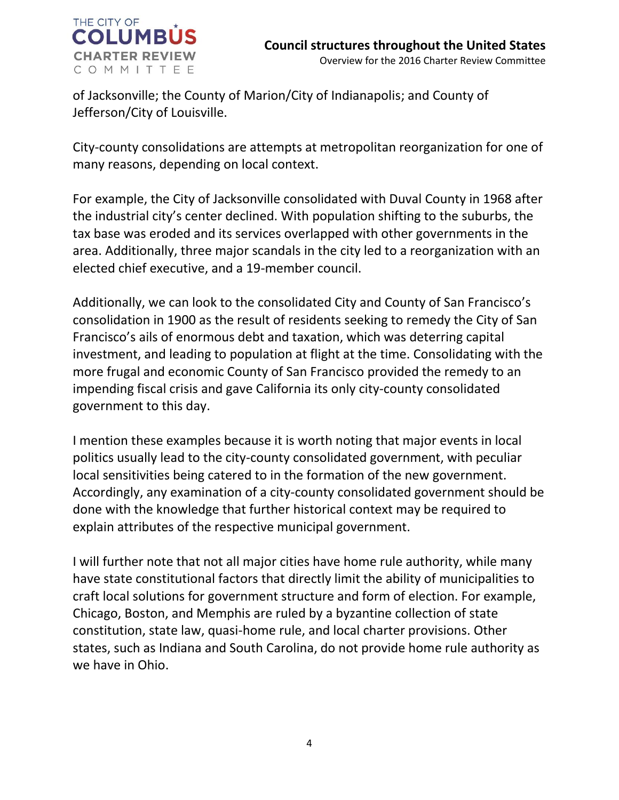

of Jacksonville; the County of Marion/City of Indianapolis; and County of Jefferson/City of Louisville.

City-county consolidations are attempts at metropolitan reorganization for one of many reasons, depending on local context.

For example, the City of Jacksonville consolidated with Duval County in 1968 after the industrial city's center declined. With population shifting to the suburbs, the tax base was eroded and its services overlapped with other governments in the area. Additionally, three major scandals in the city led to a reorganization with an elected chief executive, and a 19-member council.

Additionally, we can look to the consolidated City and County of San Francisco's consolidation in 1900 as the result of residents seeking to remedy the City of San Francisco's ails of enormous debt and taxation, which was deterring capital investment, and leading to population at flight at the time. Consolidating with the more frugal and economic County of San Francisco provided the remedy to an impending fiscal crisis and gave California its only city-county consolidated government to this day.

I mention these examples because it is worth noting that major events in local politics usually lead to the city-county consolidated government, with peculiar local sensitivities being catered to in the formation of the new government. Accordingly, any examination of a city-county consolidated government should be done with the knowledge that further historical context may be required to explain attributes of the respective municipal government.

I will further note that not all major cities have home rule authority, while many have state constitutional factors that directly limit the ability of municipalities to craft local solutions for government structure and form of election. For example, Chicago, Boston, and Memphis are ruled by a byzantine collection of state constitution, state law, quasi-home rule, and local charter provisions. Other states, such as Indiana and South Carolina, do not provide home rule authority as we have in Ohio.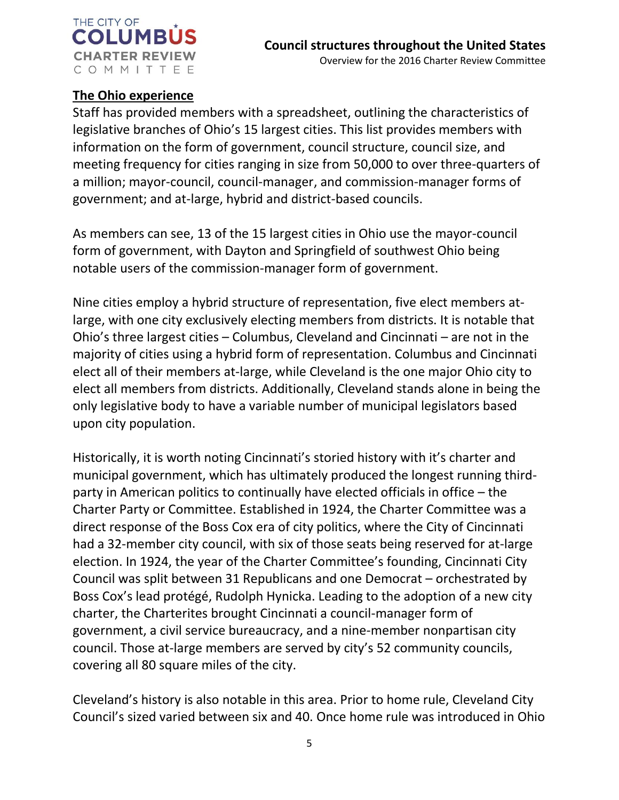

## **The Ohio experience**

Staff has provided members with a spreadsheet, outlining the characteristics of legislative branches of Ohio's 15 largest cities. This list provides members with information on the form of government, council structure, council size, and meeting frequency for cities ranging in size from 50,000 to over three-quarters of a million; mayor-council, council-manager, and commission-manager forms of government; and at-large, hybrid and district-based councils.

As members can see, 13 of the 15 largest cities in Ohio use the mayor-council form of government, with Dayton and Springfield of southwest Ohio being notable users of the commission-manager form of government.

Nine cities employ a hybrid structure of representation, five elect members atlarge, with one city exclusively electing members from districts. It is notable that Ohio's three largest cities – Columbus, Cleveland and Cincinnati – are not in the majority of cities using a hybrid form of representation. Columbus and Cincinnati elect all of their members at-large, while Cleveland is the one major Ohio city to elect all members from districts. Additionally, Cleveland stands alone in being the only legislative body to have a variable number of municipal legislators based upon city population.

Historically, it is worth noting Cincinnati's storied history with it's charter and municipal government, which has ultimately produced the longest running thirdparty in American politics to continually have elected officials in office – the Charter Party or Committee. Established in 1924, the Charter Committee was a direct response of the Boss Cox era of city politics, where the City of Cincinnati had a 32-member city council, with six of those seats being reserved for at-large election. In 1924, the year of the Charter Committee's founding, Cincinnati City Council was split between 31 Republicans and one Democrat – orchestrated by Boss Cox's lead protégé, Rudolph Hynicka. Leading to the adoption of a new city charter, the Charterites brought Cincinnati a council-manager form of government, a civil service bureaucracy, and a nine-member nonpartisan city council. Those at-large members are served by city's 52 community councils, covering all 80 square miles of the city.

Cleveland's history is also notable in this area. Prior to home rule, Cleveland City Council's sized varied between six and 40. Once home rule was introduced in Ohio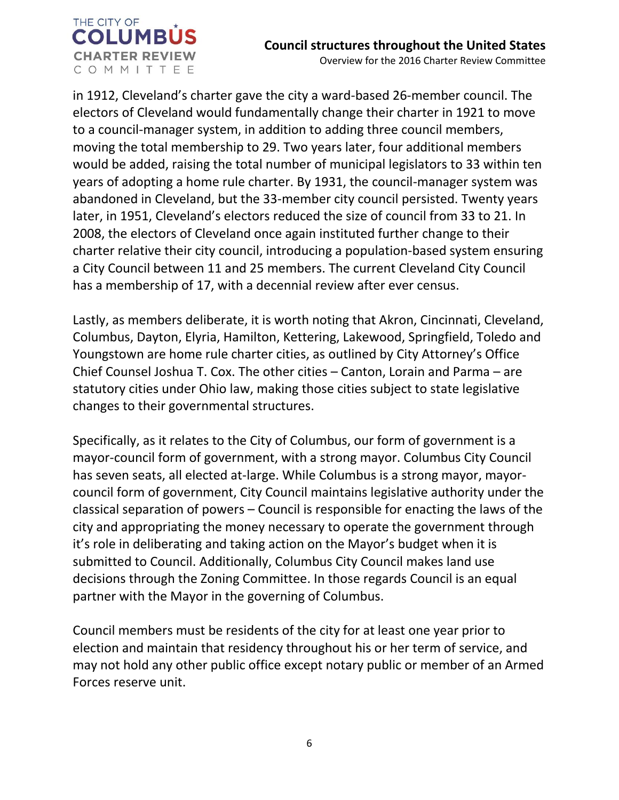

in 1912, Cleveland's charter gave the city a ward-based 26-member council. The electors of Cleveland would fundamentally change their charter in 1921 to move to a council-manager system, in addition to adding three council members, moving the total membership to 29. Two years later, four additional members would be added, raising the total number of municipal legislators to 33 within ten years of adopting a home rule charter. By 1931, the council-manager system was abandoned in Cleveland, but the 33-member city council persisted. Twenty years later, in 1951, Cleveland's electors reduced the size of council from 33 to 21. In 2008, the electors of Cleveland once again instituted further change to their charter relative their city council, introducing a population-based system ensuring a City Council between 11 and 25 members. The current Cleveland City Council has a membership of 17, with a decennial review after ever census.

Lastly, as members deliberate, it is worth noting that Akron, Cincinnati, Cleveland, Columbus, Dayton, Elyria, Hamilton, Kettering, Lakewood, Springfield, Toledo and Youngstown are home rule charter cities, as outlined by City Attorney's Office Chief Counsel Joshua T. Cox. The other cities – Canton, Lorain and Parma – are statutory cities under Ohio law, making those cities subject to state legislative changes to their governmental structures.

Specifically, as it relates to the City of Columbus, our form of government is a mayor-council form of government, with a strong mayor. Columbus City Council has seven seats, all elected at-large. While Columbus is a strong mayor, mayorcouncil form of government, City Council maintains legislative authority under the classical separation of powers – Council is responsible for enacting the laws of the city and appropriating the money necessary to operate the government through it's role in deliberating and taking action on the Mayor's budget when it is submitted to Council. Additionally, Columbus City Council makes land use decisions through the Zoning Committee. In those regards Council is an equal partner with the Mayor in the governing of Columbus.

Council members must be residents of the city for at least one year prior to election and maintain that residency throughout his or her term of service, and may not hold any other public office except notary public or member of an Armed Forces reserve unit.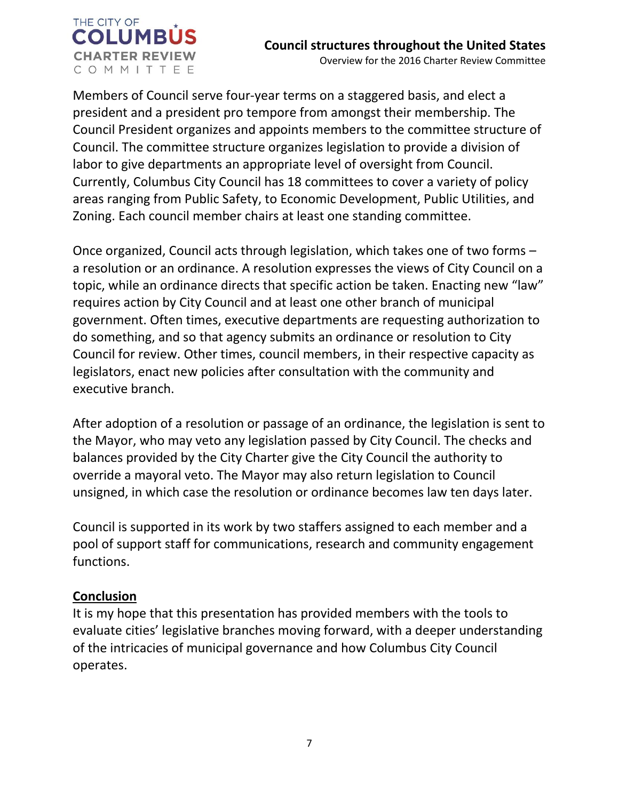

Members of Council serve four-year terms on a staggered basis, and elect a president and a president pro tempore from amongst their membership. The Council President organizes and appoints members to the committee structure of Council. The committee structure organizes legislation to provide a division of labor to give departments an appropriate level of oversight from Council. Currently, Columbus City Council has 18 committees to cover a variety of policy areas ranging from Public Safety, to Economic Development, Public Utilities, and Zoning. Each council member chairs at least one standing committee.

Once organized, Council acts through legislation, which takes one of two forms – a resolution or an ordinance. A resolution expresses the views of City Council on a topic, while an ordinance directs that specific action be taken. Enacting new "law" requires action by City Council and at least one other branch of municipal government. Often times, executive departments are requesting authorization to do something, and so that agency submits an ordinance or resolution to City Council for review. Other times, council members, in their respective capacity as legislators, enact new policies after consultation with the community and executive branch.

After adoption of a resolution or passage of an ordinance, the legislation is sent to the Mayor, who may veto any legislation passed by City Council. The checks and balances provided by the City Charter give the City Council the authority to override a mayoral veto. The Mayor may also return legislation to Council unsigned, in which case the resolution or ordinance becomes law ten days later.

Council is supported in its work by two staffers assigned to each member and a pool of support staff for communications, research and community engagement functions.

## **Conclusion**

It is my hope that this presentation has provided members with the tools to evaluate cities' legislative branches moving forward, with a deeper understanding of the intricacies of municipal governance and how Columbus City Council operates.